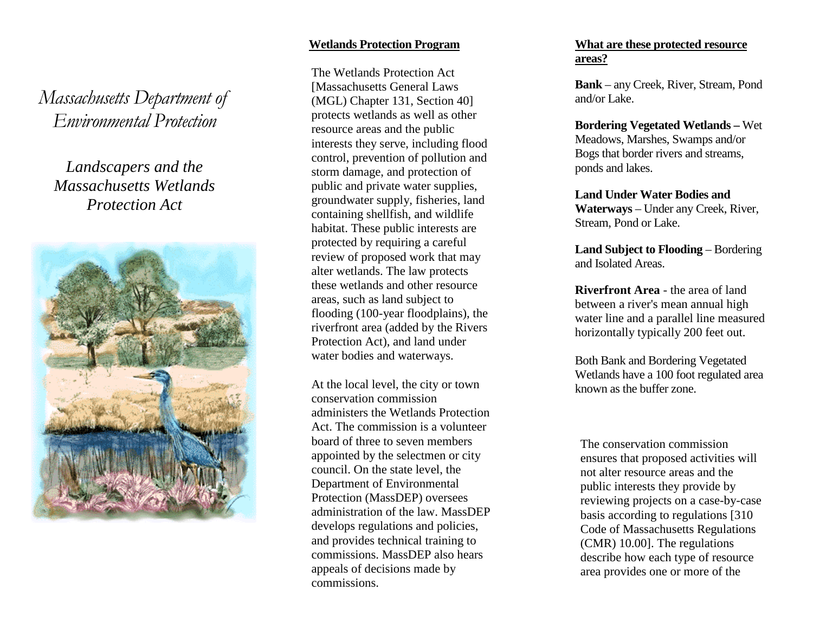Massachusetts Department of Environmental Protection

# *Landscapers and the Massachusetts Wetlands Protection Act*



#### **Wetlands Protection Program**

The Wetlands Protection Act [Massachusetts General Laws (MGL) Chapter 131, Section 40] protects wetlands as well as other resource areas and the public interests they serve, including flood control, prevention of pollution and storm damage, and protection of public and private water supplies, groundwater supply, fisheries, land containing shellfish, and wildlife habitat. These public interests are protected by requiring a careful review of proposed work that may alter wetlands. The law protects these wetlands and other resource areas, such as land subject to flooding (100-year floodplains), the riverfront area (added by the Rivers Protection Act), and land under water bodies and waterways.

At the local level, the city or town conservation commission administers the Wetlands Protection Act. The commission is a volunteer board of three to seven members appointed by the selectmen or city council. On the state level, the Department of Environmental Protection (MassDEP) oversees administration of the law. MassDEP develops regulations and policies, and provides technical training to commissions. MassDEP also hears appeals of decisions made by commissions.

#### **What are these protected resource areas?**

**Bank** – any Creek, River, Stream, Pond and/or Lake.

**Bordering Vegetated Wetlands –** Wet Meadows, Marshes, Swamps and/or Bogs that border rivers and streams, ponds and lakes.

**Land Under Water Bodies and Waterways** – Under any Creek, River, Stream, Pond or Lake.

**Land Subject to Flooding** – Bordering and Isolated Areas.

**Riverfront Area** - the area of land between a river's mean annual high water line and a parallel line measured horizontally typically 200 feet out.

Both Bank and Bordering Vegetated Wetlands have a 100 foot regulated area known as the buffer zone.

The conservation commission ensures that proposed activities will not alter resource areas and the public interests they provide by reviewing projects on a case-by-case basis according to regulations [310 Code of Massachusetts Regulations (CMR) 10.00]. The regulations describe how each type of resource area provides one or more of the